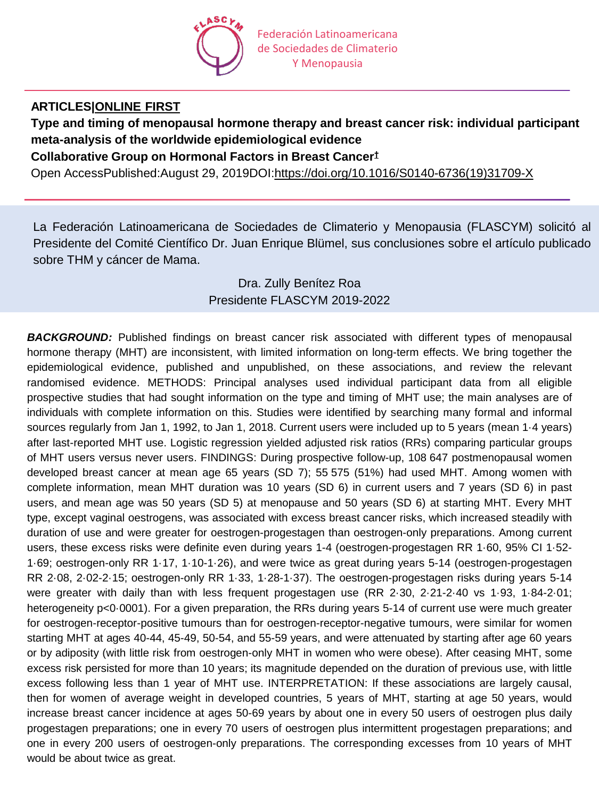

## **ARTICLES[|ONLINE](https://www.thelancet.com/journals/lancet/onlinefirst) FIRST**

**Type and timing of menopausal hormone therapy and breast cancer risk: individual participant meta-analysis of the worldwide epidemiological evidence**

**Collaborative Group on Hormonal Factors in Breast Cancer[†](https://www.thelancet.com/journals/lancet/article/PIIS0140-6736(19)31709-X/fulltext)**

Open AccessPublished:August 29, 2019DOI[:https://doi.org/10.1016/S0140-6736\(19\)31709-X](https://doi.org/10.1016/S0140-6736(19)31709-X)

La Federación Latinoamericana de Sociedades de Climaterio y Menopausia (FLASCYM) solicitó al Presidente del Comité Científico Dr. Juan Enrique Blümel, sus conclusiones sobre el artículo publicado sobre THM y cáncer de Mama.

# Dra. Zully Benítez Roa Presidente FLASCYM 2019-2022

**BACKGROUND:** Published findings on breast cancer risk associated with different types of menopausal hormone therapy (MHT) are inconsistent, with limited information on long-term effects. We bring together the epidemiological evidence, published and unpublished, on these associations, and review the relevant randomised evidence. METHODS: Principal analyses used individual participant data from all eligible prospective studies that had sought information on the type and timing of MHT use; the main analyses are of individuals with complete information on this. Studies were identified by searching many formal and informal sources regularly from Jan 1, 1992, to Jan 1, 2018. Current users were included up to 5 years (mean 1·4 years) after last-reported MHT use. Logistic regression yielded adjusted risk ratios (RRs) comparing particular groups of MHT users versus never users. FINDINGS: During prospective follow-up, 108 647 postmenopausal women developed breast cancer at mean age 65 years (SD 7); 55 575 (51%) had used MHT. Among women with complete information, mean MHT duration was 10 years (SD 6) in current users and 7 years (SD 6) in past users, and mean age was 50 years (SD 5) at menopause and 50 years (SD 6) at starting MHT. Every MHT type, except vaginal oestrogens, was associated with excess breast cancer risks, which increased steadily with duration of use and were greater for oestrogen-progestagen than oestrogen-only preparations. Among current users, these excess risks were definite even during years 1-4 (oestrogen-progestagen RR 1·60, 95% CI 1·52- 1·69; oestrogen-only RR 1·17, 1·10-1·26), and were twice as great during years 5-14 (oestrogen-progestagen RR 2·08, 2·02-2·15; oestrogen-only RR 1·33, 1·28-1·37). The oestrogen-progestagen risks during years 5-14 were greater with daily than with less frequent progestagen use (RR 2·30, 2·21-2·40 vs 1·93, 1·84-2·01; heterogeneity p<0.0001). For a given preparation, the RRs during years 5-14 of current use were much greater for oestrogen-receptor-positive tumours than for oestrogen-receptor-negative tumours, were similar for women starting MHT at ages 40-44, 45-49, 50-54, and 55-59 years, and were attenuated by starting after age 60 years or by adiposity (with little risk from oestrogen-only MHT in women who were obese). After ceasing MHT, some excess risk persisted for more than 10 years; its magnitude depended on the duration of previous use, with little excess following less than 1 year of MHT use. INTERPRETATION: If these associations are largely causal, then for women of average weight in developed countries, 5 years of MHT, starting at age 50 years, would increase breast cancer incidence at ages 50-69 years by about one in every 50 users of oestrogen plus daily progestagen preparations; one in every 70 users of oestrogen plus intermittent progestagen preparations; and one in every 200 users of oestrogen-only preparations. The corresponding excesses from 10 years of MHT would be about twice as great.